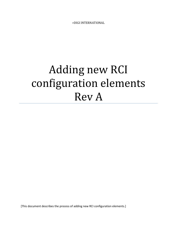>DIGI INTERNATIONAL

# Adding new RCI configuration elements Rev A

[This document describes the process of adding new RCI configuration elements.]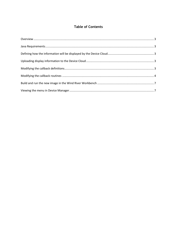## **Table of Contents**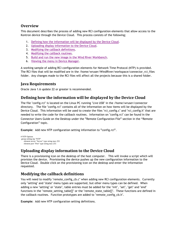## <span id="page-2-0"></span>**Overview**

This document describes the process of adding new RCI configuration elements that allow access to the Kontron device through the Device Cloud. This process consists of the following;

- 1. [Defining how the information will be displayed by the Device Cloud.](#page-2-2)
- 2. Uploading display [information to the Device Cloud.](#page-2-3)
- 3. [Modifying the callback definitions.](#page-2-4)
- 4. [Modifying the callback routines.](#page-3-0)
- 5. [Build and run the new image in the Wind River Workbench.](#page-6-0)
- 6. [Viewing the menu in Device](#page-6-1) Manager.

A working sample of adding RCI configuration elements for Network Time Protocol (NTP) is provided. The RCI files that will be modified are in the /home/wruser/WindRiver/workspace/connector\_rci\_files folder. Any changes made to the RCI files will affect all the projects because this is a shared folder.

## <span id="page-2-1"></span>**Java Requirements**

Oracle Java 1.6 update 22 or greater is recommended.

## <span id="page-2-2"></span>**Defining how the information will be displayed by the Device Cloud**

The file "config.rci" is located on the Linux PC running "Live USB" in the /home/wruser/connector directory. The file "config.rci" contains all of the information on how items will be displayed by the Device Cloud. This information will be used to create the files "rci\_config.c" and "rci\_config.h" that are needed to write the code for the callback routines. Information on "config.rci" can be found in the Connector Users Guide on the Desktop under the **"**Remote Configuration File**"** section in the "Remote Configuration" topic.

**Example:** Add new NTP configuration setting information to **"**config.rci**"**.

```
# NTP Options
group setting ntp "NTP"
    element server "Server" type string max 255
    element port "Port" type string max 255
```
## <span id="page-2-3"></span>**Uploading display information to the Device Cloud**

There is a provisioning icon on the desktop of the host computer. This will invoke a script which will provision the device. Provisioning the device pushes up the new configuration information to the Device Cloud. Double click on the provisioning icon on the desktop and enter the information requested.

## <span id="page-2-4"></span>**Modifying the callback definitions**

You will need to modify "remote\_config\_cb.c" when adding new RCI configuration elements. Currently only "setting" and "state" menu types are supported, but other menu types can be defined. When adding a new "setting" or "state", table entries must be added for the "init", "set", "get" and "end" functions in the "remote\_setting\_table[]" or the "remote\_state\_table[]". These functions are defined in the callback routines. Function prototypes are added to "remote\_config\_cb.h".

**Example:** Add new NTP configuration setting definitions.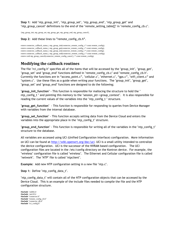**Step 1:** Add "ntp\_group\_init", "ntp\_group\_set", "ntp\_group\_end", "ntp\_group\_get" and "ntp\_group\_cancel" definitions to the end of the "remote\_setting\_table[]" in "remote\_config\_cb.c".

{ntp\_group\_init, ntp\_group\_set, ntp\_group\_get, ntp\_group\_end, ntp\_group\_cancel},

**Step 2:** Add these lines to **"**remote\_config\_cb.h**"**.

extern connector\_callback\_status\_t ntp\_group\_init(connector\_remote\_config\_t \* const remote\_config); extern connector\_callback\_status\_t ntp\_group\_get(connector\_remote\_config\_t \* const remote\_config); extern connector\_callback\_status\_t ntp\_group\_set(connector\_remote\_config\_t \* const remote\_config); extern connector callback status t ntp\_group\_end(connector\_remote\_config\_t \* const remote\_config); extern void ntp\_group\_cancel(connector\_remote\_config\_cancel\_t \* const remote\_config);

## <span id="page-3-0"></span>**Modifying the callback routines**

The file "rci\_config.h" specifies all of the items that will be accessed by the "group\_init", "group\_get", "group\_set" and "group\_end" functions defined in "remote\_config\_cb.c" and "remote\_config\_cb.h". Currently the functions are in "access\_point.c", "cellular.c", "ethernet.c", "gps.c", "wifi\_client.c" and "system.c". Use these files as a guide when writing your functions. The "group\_init", "group\_get", "group\_set" and "group\_end" functions are designed to do the following;

"**group\_init\_function**" - This function is responsible for mallocing the structure to hold the " ntp\_config\_t " and pointing this memory to the "session\_ptr->group\_context". It is also responsible for reading the current values of the variables into the "ntp\_config\_t " structure.

"**group\_get\_function**" - This function is responsible for responding to queries from Device Manager with variables from the internal database.

"**group\_set\_function**" - This function accepts setting data from the Device Cloud and enters the variables into the appropriate place in the "ntp\_config\_t" structure.

"**group\_end\_function**" - This function is responsible for writing all of the variables in the "ntp\_config\_t" structure to the database.

All variables are accessed using UCI (Unified Configuration Interface) configuration. More information on UCI can be found at<http://wiki.openwrt.org/doc/uci>. UCI is a small utility intended to centralize the device configuration. UCI is the successor of the NVRAM based configuration. The UCI configuration files are located in the /etc/config directory on the Kontron device. For example, the "wireless" configuration file is called "wireless". The Ethernet and Cellular configuration file is called "network". The "NTP" file is called "ntpclient".

**Example:** Add new NTP configuration setting in a new file "ntp.c".

**Step 1:** Define "ntp\_config\_data\_t".

"ntp\_config\_data\_t" will contain all of the NTP configuration objects that can be accessed by the Device Cloud. This is an example of the include files needed to compile the file and the NTP configuration structure.

**#include** <stdlib.h> **#include** <net/if.h> **#include** "connector.h" **#include** "remote\_config\_cb.h" **#include** "connector\_db.h" **#include** "rci\_config.h"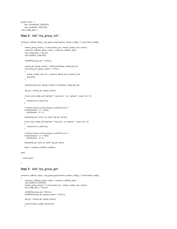typedef struct { char server[MAX\_STRLEN]; char port[MAX\_STRLEN]; } ntp\_config\_data\_t;

#### Step 2: Add "ntp\_group\_init".

```
connector callback status t ntp_group_init(connector_remote_config_t * const remote_config)
{
      remote_group_session_t * const session_ptr = remote_config->user_context;
      connector_callback_status_t status = connector_callback_abort;
      ntp_config_data_t * ntp_ptr;
      char str[MAX_STRLEN];
      ASSERT(session_ptr != NULL);
      session_ptr->group_context = malloc(sizeof(ntp_config_data_t));
      if (session_ptr->group_context == NULL)
      {
        remote_config->error_id = connector_global_error_memory_fail;
        goto done;
      }
      memset(session_ptr->group_context, 0, sizeof(ntp_config_data_t));
      ntp_ptr = session_ptr->group_context;
     if (uci_read_config_var("ntpclient", "ntp_server", str, "general", sizeof str < 0)
 \overline{\phantom{a}} memset (str, 0, sizeof str);
 }
     /* Need to remove \n from string to avoid RCI error */
    if (str[strlen(str) - 1] == 0x0a)str[strlen(str) - 1] = 0; strncpy(ntp_ptr->server, str, sizeof ntp_ptr->server); 
     if (uci_read_config_var("ntpclient", "ntp_port", str, "general", sizeof str) < 0)
\overline{\phantom{a}} memset (str, 0, sizeof str);
 }
    \hspace{0.1mm}/^* Need to remove \n from string to avoid RCI error \hspace{0.1mm}^* /if (str[str] - 1] == 0x0a)str[strlen(str) - 1] = 0; strncpy(ntp_ptr->port, str, sizeof ntp_ptr->port);
     status = connector_callback_continue;
done:
   return status;
```
}

#### **Step 3:** Add "ntp\_group\_get"

```
connector_callback_status_t ntp_group_get(connector_remote_config_t * const remote_config)
{
     connector_callback_status_t status = connector_callback_abort;
     char str[MAX_STRLEN];
 remote_group_session_t * const session_ptr = remote_config->user_context;
 ntp_config_data_t * ntp_ptr;
     ASSERT(session_ptr != NULL);
     ASSERT(session_ptr->group_context != NULL);
     ntp_ptr = session_ptr->group_context;
     switch (remote_config->element.id)
     {
```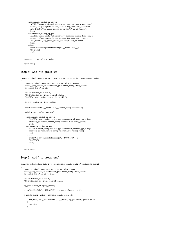```
 case connector_setting_ntp_server: 
        ASSERT(remote_config->element.type == connector_element_type_string);
        remote_config->response.element_value->string_value = ntp_ptr->server;
        APP_DEBUG("ntp_group_get: ntp_server [%s]\n", ntp_ptr->server);
        break; 
     case connector_setting_ntp_port: 
        ASSERT(remote_config->element.type == connector_element_type_string);
        remote_config->response.element_value->string_value = ntp_ptr->port; 
       APP\_DEBUG("ntp\_group\_get: ntp\_port [\%s] \n| n", ntp_ptr->port);
        break;
     default:
      printf("%s: Unrecognized ntp setting\n", __FUNCTION_);
      ASSERT(0);
       break;
 }
 status = connector_callback_continue;
```

```
 return status;
```
}

#### **Step 4:** Add "ntp\_group\_set"

```
connector_callback_status_t ntp_group_set(connector_remote_config_t * const remote_config)
{
      connector_callback_status_t status = connector_callback_continue;
      r = \frac{1}{\sqrt{2\pi}} \arccos \left( \frac{1}{2} \arccos \left( \frac{1}{2} \arccos \left( \frac{1}{2} \arccos \left( \frac{1}{2} \arccos \left( \frac{1}{2} \arccos \left( \frac{1}{2} \arccos \left( \frac{1}{2} \arccos \left( \frac{1}{2} \arccos \left( \frac{1}{2} \arccos \left( \frac{1}{2} \arccos \left( \frac{1}{2} \arccos \left( \frac{1}{2} \arccos \left( \frac{1}{2} \arccos \left( \frac{1}{2} \arccos \left( \frac{ ntp_config_data_t * ntp_ptr;
       ASSERT(session_ptr != NULL);
      ASSERT(session_ptr->group_context != NULL);
       ASSERT(remote_config->element.value != NULL);
       ntp_ptr = session_ptr->group_context;
      printf("%s: id = %d\n", _FUNCTION_, remote_config->element.id);
       switch (remote_config->element.id)
\left\{\right.case connector setting ntp server:
            ASSERT(remote\_config->element_type == connector\_element_type\_string);strcpy(ntp_ptr->server, remote_config->element.value->string_value);
             break;
         case connector_setting_ntp_port:
            ASSERT(remote\_config\rightarrow element_type == connector\_element_type_string); strcpy(ntp_ptr->port, remote_config->element.value->string_value);
             break;
         default:
            printf("%s: Unrecognized ntp setting\n", __FUNCTION_);
              ASSERT(0);
             break;
 }
      return status;
}
```
#### **Step 5:** Add "ntp\_group\_end"

}

```
connector_callback_status_t ntp_group_end(connector_remote_config_t * const remote_config)
{
    connector_callback_status_t status = connector_callback_abort;
```

```
 remote_group_session_t * const session_ptr = remote_config->user_context;
    ntp_config_data_t * ntp_ptr = NULL;
    ASSERT(session_ptr != NULL);
    ASSERT(session_ptr->group_context != NULL);
    ntp_ptr = session_ptr->group_context;
   printf("%s: id = %d\langle n \rangle", FUNCTION, remote config->element.id);
    if (remote_config->action == connector_remote_action_set)
\left\{\right\} if (uci_write_config_var("ntpclient", "ntp_server", ntp_ptr->server, "general") < 0)
\overline{\mathcal{L}} goto done;
```